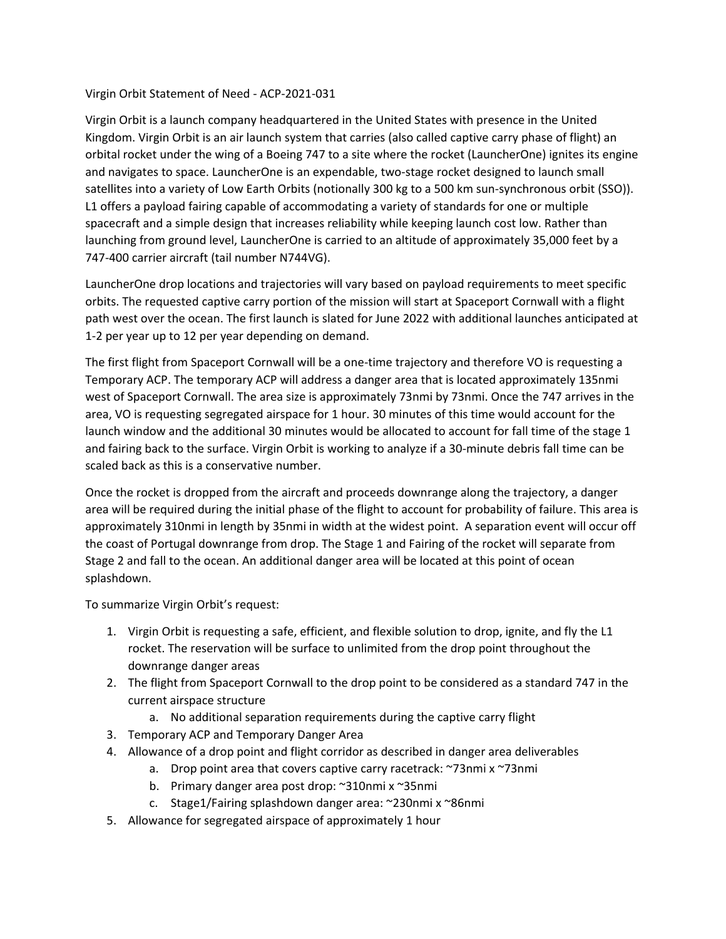## Virgin Orbit Statement of Need - ACP-2021-031

Virgin Orbit is a launch company headquartered in the United States with presence in the United Kingdom. Virgin Orbit is an air launch system that carries (also called captive carry phase of flight) an orbital rocket under the wing of a Boeing 747 to a site where the rocket (LauncherOne) ignites its engine and navigates to space. LauncherOne is an expendable, two-stage rocket designed to launch small satellites into a variety of Low Earth Orbits (notionally 300 kg to a 500 km sun-synchronous orbit (SSO)). L1 offers a payload fairing capable of accommodating a variety of standards for one or multiple spacecraft and a simple design that increases reliability while keeping launch cost low. Rather than launching from ground level, LauncherOne is carried to an altitude of approximately 35,000 feet by a 747-400 carrier aircraft (tail number N744VG).

LauncherOne drop locations and trajectories will vary based on payload requirements to meet specific orbits. The requested captive carry portion of the mission will start at Spaceport Cornwall with a flight path west over the ocean. The first launch is slated for June 2022 with additional launches anticipated at 1-2 per year up to 12 per year depending on demand.

The first flight from Spaceport Cornwall will be a one-time trajectory and therefore VO is requesting a Temporary ACP. The temporary ACP will address a danger area that is located approximately 135nmi west of Spaceport Cornwall. The area size is approximately 73nmi by 73nmi. Once the 747 arrives in the area, VO is requesting segregated airspace for 1 hour. 30 minutes of this time would account for the launch window and the additional 30 minutes would be allocated to account for fall time of the stage 1 and fairing back to the surface. Virgin Orbit is working to analyze if a 30-minute debris fall time can be scaled back as this is a conservative number.

Once the rocket is dropped from the aircraft and proceeds downrange along the trajectory, a danger area will be required during the initial phase of the flight to account for probability of failure. This area is approximately 310nmi in length by 35nmi in width at the widest point. A separation event will occur off the coast of Portugal downrange from drop. The Stage 1 and Fairing of the rocket will separate from Stage 2 and fall to the ocean. An additional danger area will be located at this point of ocean splashdown.

To summarize Virgin Orbit's request:

- 1. Virgin Orbit is requesting a safe, efficient, and flexible solution to drop, ignite, and fly the L1 rocket. The reservation will be surface to unlimited from the drop point throughout the downrange danger areas
- 2. The flight from Spaceport Cornwall to the drop point to be considered as a standard 747 in the current airspace structure
	- a. No additional separation requirements during the captive carry flight
- 3. Temporary ACP and Temporary Danger Area
- 4. Allowance of a drop point and flight corridor as described in danger area deliverables
	- a. Drop point area that covers captive carry racetrack: ~73nmi x ~73nmi
	- b. Primary danger area post drop: ~310nmi x ~35nmi
	- c. Stage1/Fairing splashdown danger area: ~230nmi x ~86nmi
- 5. Allowance for segregated airspace of approximately 1 hour